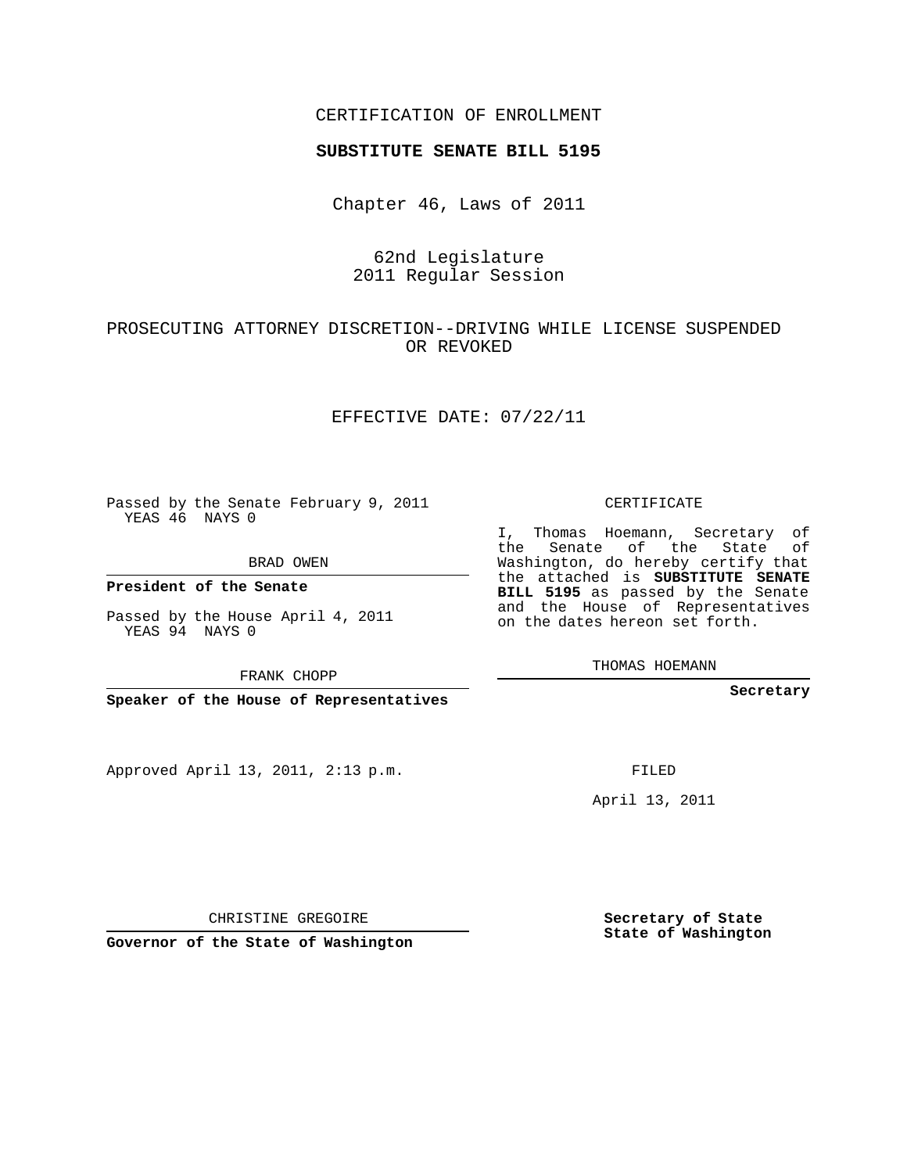### CERTIFICATION OF ENROLLMENT

#### **SUBSTITUTE SENATE BILL 5195**

Chapter 46, Laws of 2011

### 62nd Legislature 2011 Regular Session

## PROSECUTING ATTORNEY DISCRETION--DRIVING WHILE LICENSE SUSPENDED OR REVOKED

### EFFECTIVE DATE: 07/22/11

Passed by the Senate February 9, 2011 YEAS 46 NAYS 0

BRAD OWEN

**President of the Senate**

Passed by the House April 4, 2011 YEAS 94 NAYS 0

FRANK CHOPP

**Speaker of the House of Representatives**

Approved April 13, 2011, 2:13 p.m.

CERTIFICATE

I, Thomas Hoemann, Secretary of the Senate of the State of Washington, do hereby certify that the attached is **SUBSTITUTE SENATE BILL 5195** as passed by the Senate and the House of Representatives on the dates hereon set forth.

THOMAS HOEMANN

**Secretary**

FILED

April 13, 2011

CHRISTINE GREGOIRE

**Governor of the State of Washington**

**Secretary of State State of Washington**